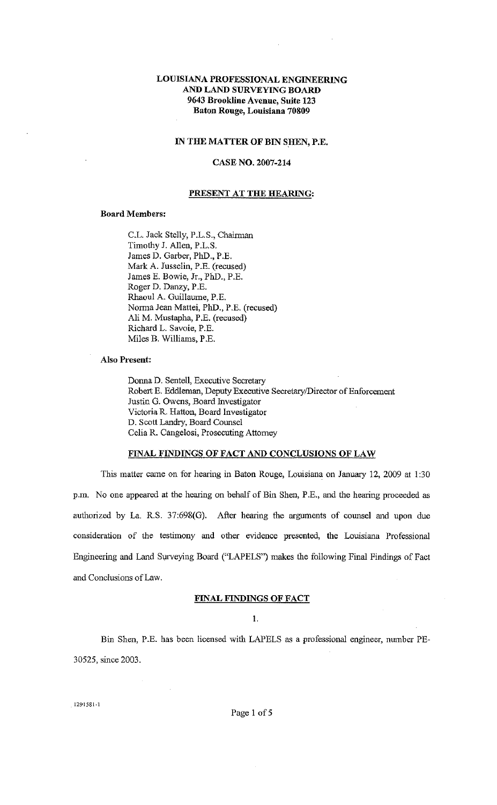# LOUISIANA PROFESSIONAL ENGINEERING AND LAND SURVEYING BOARD 9643 Brookline Avenue, Suite 123 Baton Rouge, Louisiana 70809

#### IN THE MATTER OF BIN SHEN, P.E.

# CASE NO. 2007-214

#### PRESENT AT THE HEARING:

#### Board Members:

C.L. Jack Stelly, P.L.S., Chairman Timothy J. Allen, P.L.S. James D. Garber, PhD., P.E. Mark A. Jusselin, P.E. (recused) James E. Bowie, Jr., PhD., P.E. Roger D. Danzy, P.E. Rhaoul A. Guillaume, P.E. Norma Jean Mattei, PhD., P.E. (recused) Ali M. Mustapha, P.E. (recused) Richard L. Savoie, P.E. Miles B. Williams, P.E.

# Also Present:

Donna D. Sentell, Executive Secretary Robert E. Eddleman, Deputy Executive Secretary/Director of Enforcement Justin G. Owens, Board Investigator Victoria R. Hatton, Board Investigator D. Scott Landry, Board Counsel Celia R. Cangelosi, Prosecuting Attomey

# FINAL FINDINGS OF FACT AND CONCLUSIONS OF LAW

This matter came on for hearing in Baton Rouge, Louisiana on January 12, 2009 at 1:30 p.m. No one appeared at the hearing on behalf of Bin Shen, P .E., and the hearing proceeded as authorized by La. R.S. 37:698(G). After hearing the arguments of counsel and upon due consideration of the testimony and other evidence presented, the Louisiana Professional Engineering and Land Surveying Board ("LAPELS") makes the following Final Findings of Fact and Conclusions of Law.

#### FINAL FINDINGS OF FACT

I.

Bin Shen, P.E. has been licensed with LAPELS as a professional engineer, number PE-30525, since 2003.

1291581-1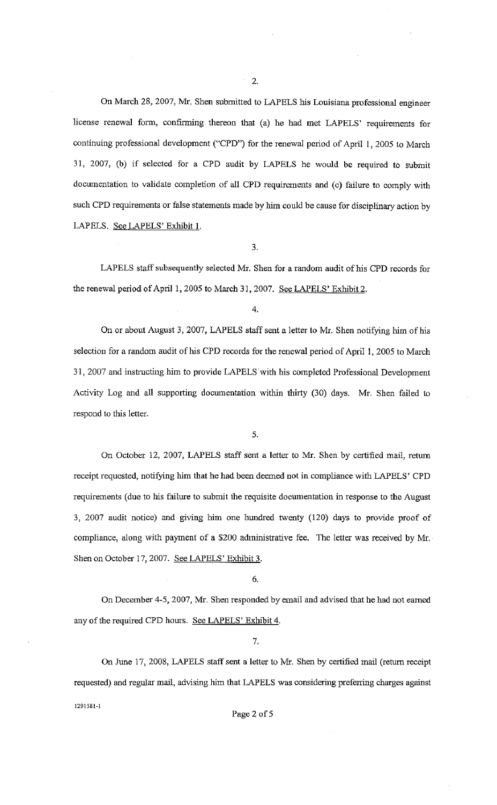On March 28, 2007, Mr. Shen submitted to LAPELS his Louisiana professional engineer license renewal form, confirming thereon that (a) he had met LAPELS' requirements for continuing professional development ("CPD") for the renewal period of April I, 2005 to March 31, 2007, (b) if selected for a CPD audit by LAPELS he would be required to submit documentation to validate completion of all CPD requirements and (c) failure to comply with such CPD requirements or false statements made by him could be cause for disciplinary action by LAPELS. See LAPELS' Exhibit I.

3.

LAPELS staff subsequently selected Mr. Shen for a random audit of his CPD records for the renewal period of April 1, 2005 to March 31, 2007. See LAPELS' Exhibit 2.

On or about August 3, 2007, LAPELS staff sent a letter to Mr. Shen notifying him of his selection for a random audit of his CPD records for the renewal period of April I, 2005 to March 31, 2007 and instructing him to provide LAPELS with his completed Professional Development Activity Log and all supporting documentation within thirty (30) days. Mr. Shen failed to respond to this letter.

5.

On October 12, 2007, LAPELS staff sent a letter to Mr. Shen by certified mail, retum receipt requested, notifying him that he had been deemed not in compliance with LAPELS' CPD requirements (due to his failure to submit the requisite documentation in response to the August 3, 2007 audit notice) and giving him one hundred twenty (120) days to provide proof of compliance, along with payment of a \$200 administrative fee. The letter was received by Mr. Shen on October 17, 2007. See LAPELS' Exhibit 3.

6.

On December 4-5, 2007, Mr. Shen responded by email and advised that he had not earned any of the required CPD hours. See LAPELS' Exhibit 4.

7.

On June 17, 2008, LAPELS staff sent a letter to Mr. Shen by certified mail (return receipt requested) and regular mail, advising him that LAPELS was considering preferring charges against 1291581-1

Page 2 of 5

<sup>4.</sup>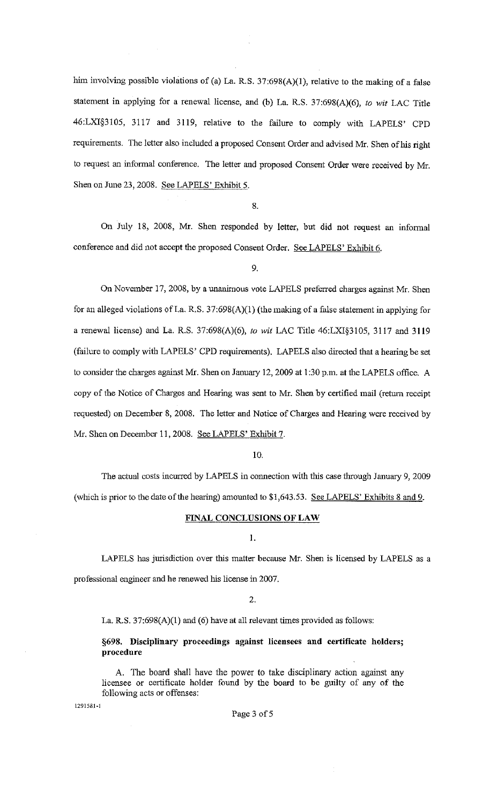him involving possible violations of (a) La. R.S. 37:698(A)(1), relative to the making of a false statement in applying for a renewal license, and (b) La. R.S. 37:698(A)(6), *to wit* LAC Title 46:LXI§3105, 3117 and 3119, relative to the failure to comply with LAPELS' CPD requirements. The letter also included a proposed Consent Order and advised Mr. Shen of his right to request an infonnal conference. The letter and proposed Consent Order were received by Mr. Shen on June 23,2008. See LAPELS' Exhibit 5.

8.

On July 18, 2008, Mr. Shen responded by letter, but did not request an informal conference and did not accept the proposed Consent Order. See LAPELS' Exhibit 6.

9.

On November 17, 2008, by a unanimous vote LAPELS preferred charges against Mr. Shen for an alleged violations of La. R.S.  $37:698(A)(1)$  (the making of a false statement in applying for a renewal license) and La. R.S. 37:698(A)(6), *to wit* LAC Title 46:LXI§3105, 3117 and 3119 (failure to comply with LAPELS' CPD requirements). LAPELS also directed that a hearing be set to consider the charges against Mr. Shen on January 12, 2009 at 1:30 p.m. at the LAPELS office. A copy of the Notice of Charges and Hearing was sent to Mr. Shen by certified mail (return receipt requested) on December 8, 2008. The letter and Notice of Charges and Hearing were received by Mr. Shen on December 11, 2008. See LAPELS' Exhibit 7.

10.

The actual costs incurred by LAPELS in connection with this case through January 9, 2009 (which is prior to the date of the hearing) amounted to \$1,643.53. See LAPELS' Exhibits 8 and 9.

#### FINAL CONCLUSIONS OF LAW

I.

LAPELS has jurisdiction over this matter because Mr. Shen is licensed by LAPELS as a professional engineer and he renewed his license in 2007.

2.

La. R.S. 37:698(A)(l) and (6) have at all relevant times provided as follows:

# §698. Disciplinary proceedings against licensees and certificate holders; procedure

A. The board shall have the power to take disciplinary action against any licensee or certificate holder found by the board to be guilty of any of the following acts or offenses:

1291581~1

#### Page 3 of 5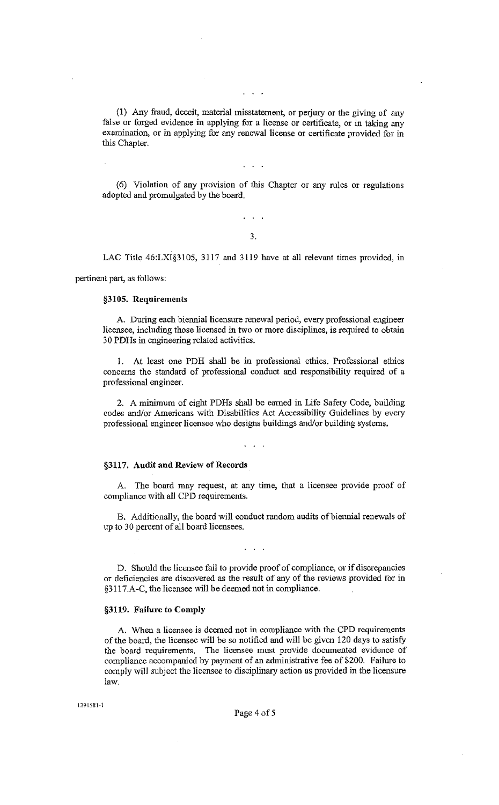(1) Any fraud, deceit, material misstatement, or perjury or the giving of any false or forged evidence in applying for a license or certificate, or in taking any examination, or in applying for any renewal license or certificate provided for in this Chapter.

 $\mathbf{1}$   $\mathbf{1}$ 

(6) Violation of any provision of this Chapter or any rules or regulations adopted and promulgated by the board.

# 3.

 $\mathbf{1}$   $\mathbf{1}$   $\mathbf{1}$ 

LAC Title 46:LXI§3105, 3117 and 3119 have at all relevant times provided, in

pertinent part, as follows:

#### §3105. Requirements

A. During each biennial licensure renewal period, every professional engineer licensee, including those licensed in two or more disciplines, is required to obtain 30 PDHs in engineering related activities.

I. At least one PDH shall be in professional ethics. Professional ethics concerns the standard of professional conduct and responsibility required of a professional engineer.

2. A minimum of eight PDHs shall be earned in Life Safety Code, building codes and/or Americans with Disabilities Act Accessibility Guidelines by every professional engineer licensee who designs buildings and/or building systems.

#### §3117. Audit and Review of Records

A. The board may request, at any time, that a licensee provide proof of compliance with all CPD requirements.

B. Additionally, the board will conduct random audits of biennial renewals of up to 30 percent of all board licensees.

D. Should the licensee fail to provide proof of compliance, or if discrepancies or deficiencies are discovered as the result of any of the reviews provided for in §311 7 .A -C, the licensee will be deemed not in compliance.

#### §3119. Failure to Comply

A. When a licensee is deemed not in compliance with the CPD requirements of the board, the licensee will be so notified and will be given 120 days to satisfy the board requirements. The licensee must provide documented evidence of compliance accompanied by payment of an administrative fee of \$200. Failure to comply will subject the licensee to disciplinary action as provided in the licensure law.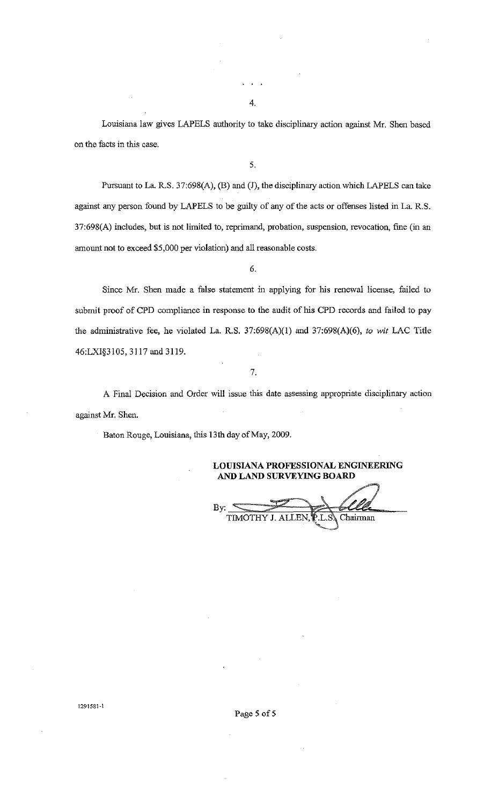Louisiana law gives LAPELS authority to take disciplinary action against Mr. Shen based on the facts in this case.

5.

Pursuant to La R.S. 37:698(A), (B) and (J), the disciplinary action which LAPELS can take against any person found by LAPELS to be guilty of any of the acts or offenses listed in La. R.S. 37:698(A) includes, but is not limited to, reprimand, probation, suspension, revocation, fine (in an amount not to exceed \$5,000 per violation) and all reasonable costs.

6.

Since Mr. Shen made a false statement in applying for his renewal license, failed to submit proof of CPD compliance in response to the audit of his CPD records and failed to pay the administrative fee, he violated La. R.S. 37:698(A)(l) and 37:698(A)(6), *to wit* LAC Title 46:LXI§3105, 3117 and 3119.

7.

A Final Decision and Order will issue this date assessing appropriate disciplinary action against Mr. Shen.

Baton Rouge, Louisiana, this 13th day of May, 2009.

**LOUISIANA PROFESSIONAL ENGINEERING AND LAND SURVEYING BOARD** 

 $\frac{By:}{TM}$ Chairman

**1291581-1** 

Page 5 of 5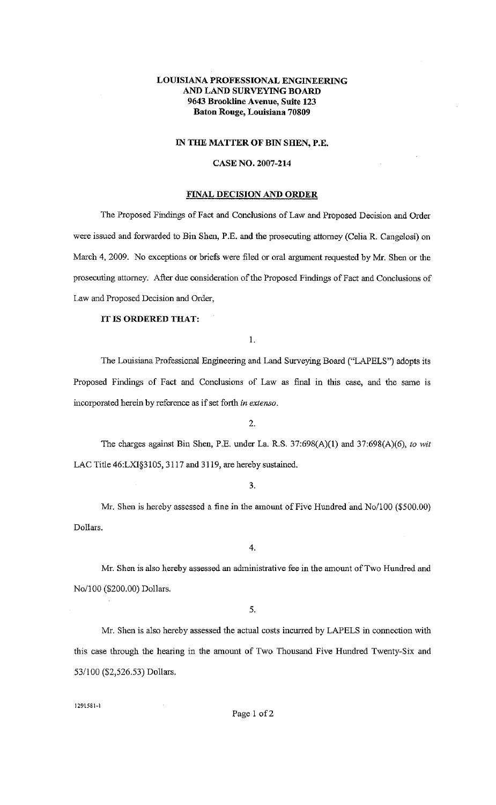# **LOUISIANA PROFESSIONAL ENGINEERING AND LAND SURVEYING BOARD 9643 Brookline Avenue, Suite 123 Baton Rouge, Louisiana 70809**

#### **IN THE MATTER OF BIN SHEN, P.E.**

#### **CASE NO. 2007-214**

## **FINAL DECISION AND ORDER**

The Proposed Findings of Fact and Conclusions of Law and Proposed Decision and Order were issued and forwarded to Bin Shen, P.E. and the prosecuting attorney (Celia R. Cangelosi) on March 4, 2009. No exceptions or briefs were filed or oral argument requested by Mr. Shen or the prosecuting attorney. After due consideration of the Proposed Findings of Fact and Conclusions of Law and Proposed Decision and Order,

## **IT IS ORDERED THAT:**

I.

The Louisiana Professional Engineering and Land Surveying Board ("LAPELS") adopts its Proposed Findings of Fact and Conclusions of Law as final in this case, and the same is incorporated herein by reference as if set forth in *extenso.* 

2.

The charges against Bin Shen, P.E. under La. R.S. 37:698(A)(l) and 37:698(A)(6), *to wit*  LAC Title 46:LXI§3105, 3117 and 3119, are hereby sustained.

3.

Mr. Shen is hereby assessed a fine in the amount of Five Hundred and No/100 (\$500.00) Dollars.

4.

Mr. Shen is also hereby assessed an administrative fee in the amount of Two Hundred and No/100 (\$200.00) Dollars.

5.

Mr. Shen is also hereby assessed the actual costs incurred by LAPELS in connection with this case through the hearing in the amount of Two Thousand Five Hundred Twenty-Six and 53/100 (\$2,526.53) Dollars.

1291581~1